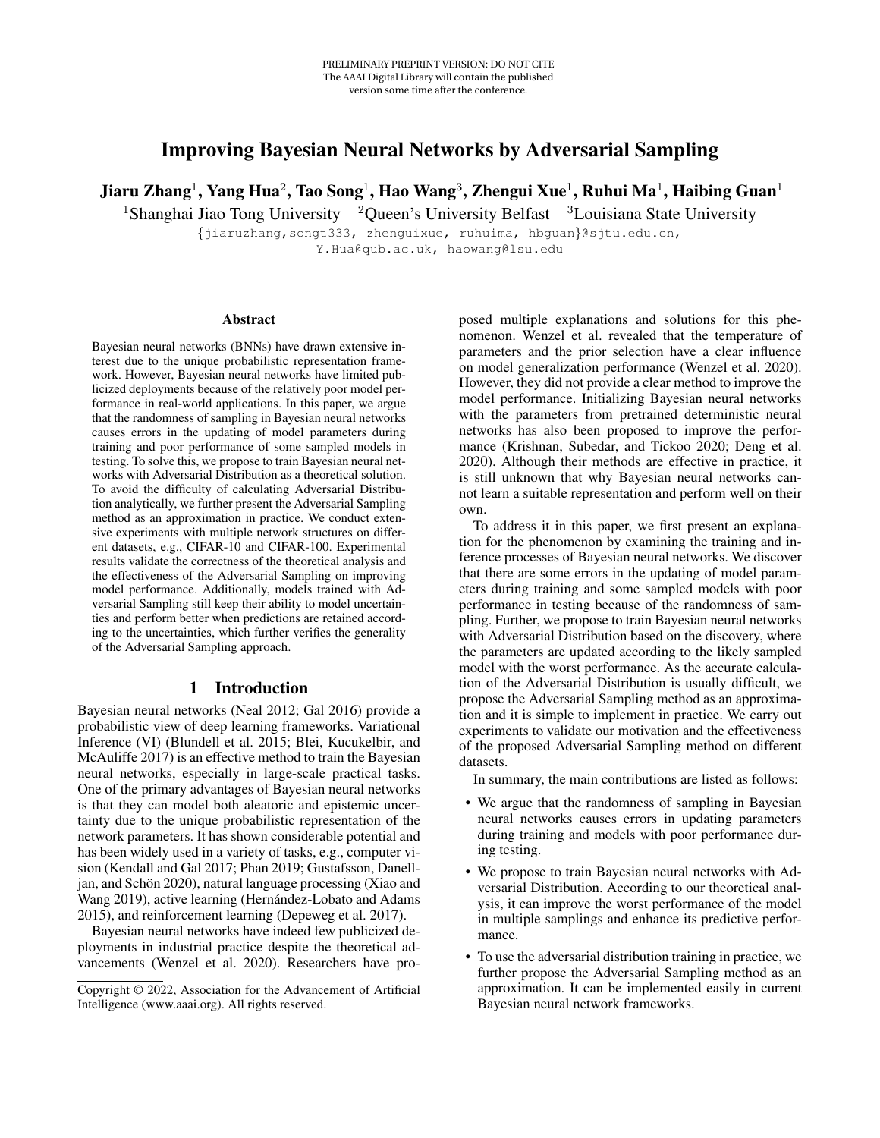# Improving Bayesian Neural Networks by Adversarial Sampling

Jiaru Zhang $^1$ , Yang Hua $^2$ , Tao Song $^1$ , Hao Wang $^3$ , Zhengui Xue $^1$ , Ruhui Ma $^1$ , Haibing Guan $^1$ 

<sup>1</sup>Shanghai Jiao Tong University <sup>2</sup>Queen's University Belfast <sup>3</sup>Louisiana State University

{jiaruzhang,songt333, zhenguixue, ruhuima, hbguan}@sjtu.edu.cn, Y.Hua@qub.ac.uk, haowang@lsu.edu

#### Abstract

Bayesian neural networks (BNNs) have drawn extensive interest due to the unique probabilistic representation framework. However, Bayesian neural networks have limited publicized deployments because of the relatively poor model performance in real-world applications. In this paper, we argue that the randomness of sampling in Bayesian neural networks causes errors in the updating of model parameters during training and poor performance of some sampled models in testing. To solve this, we propose to train Bayesian neural networks with Adversarial Distribution as a theoretical solution. To avoid the difficulty of calculating Adversarial Distribution analytically, we further present the Adversarial Sampling method as an approximation in practice. We conduct extensive experiments with multiple network structures on different datasets, e.g., CIFAR-10 and CIFAR-100. Experimental results validate the correctness of the theoretical analysis and the effectiveness of the Adversarial Sampling on improving model performance. Additionally, models trained with Adversarial Sampling still keep their ability to model uncertainties and perform better when predictions are retained according to the uncertainties, which further verifies the generality of the Adversarial Sampling approach.

# 1 Introduction

Bayesian neural networks (Neal 2012; Gal 2016) provide a probabilistic view of deep learning frameworks. Variational Inference (VI) (Blundell et al. 2015; Blei, Kucukelbir, and McAuliffe 2017) is an effective method to train the Bayesian neural networks, especially in large-scale practical tasks. One of the primary advantages of Bayesian neural networks is that they can model both aleatoric and epistemic uncertainty due to the unique probabilistic representation of the network parameters. It has shown considerable potential and has been widely used in a variety of tasks, e.g., computer vision (Kendall and Gal 2017; Phan 2019; Gustafsson, Danelljan, and Schön  $2020$ ), natural language processing (Xiao and Wang 2019), active learning (Hernández-Lobato and Adams 2015), and reinforcement learning (Depeweg et al. 2017).

Bayesian neural networks have indeed few publicized deployments in industrial practice despite the theoretical advancements (Wenzel et al. 2020). Researchers have proposed multiple explanations and solutions for this phenomenon. Wenzel et al. revealed that the temperature of parameters and the prior selection have a clear influence on model generalization performance (Wenzel et al. 2020). However, they did not provide a clear method to improve the model performance. Initializing Bayesian neural networks with the parameters from pretrained deterministic neural networks has also been proposed to improve the performance (Krishnan, Subedar, and Tickoo 2020; Deng et al. 2020). Although their methods are effective in practice, it is still unknown that why Bayesian neural networks cannot learn a suitable representation and perform well on their own.

To address it in this paper, we first present an explanation for the phenomenon by examining the training and inference processes of Bayesian neural networks. We discover that there are some errors in the updating of model parameters during training and some sampled models with poor performance in testing because of the randomness of sampling. Further, we propose to train Bayesian neural networks with Adversarial Distribution based on the discovery, where the parameters are updated according to the likely sampled model with the worst performance. As the accurate calculation of the Adversarial Distribution is usually difficult, we propose the Adversarial Sampling method as an approximation and it is simple to implement in practice. We carry out experiments to validate our motivation and the effectiveness of the proposed Adversarial Sampling method on different datasets.

In summary, the main contributions are listed as follows:

- We argue that the randomness of sampling in Bayesian neural networks causes errors in updating parameters during training and models with poor performance during testing.
- We propose to train Bayesian neural networks with Adversarial Distribution. According to our theoretical analysis, it can improve the worst performance of the model in multiple samplings and enhance its predictive performance.
- To use the adversarial distribution training in practice, we further propose the Adversarial Sampling method as an approximation. It can be implemented easily in current Bayesian neural network frameworks.

Copyright © 2022, Association for the Advancement of Artificial Intelligence (www.aaai.org). All rights reserved.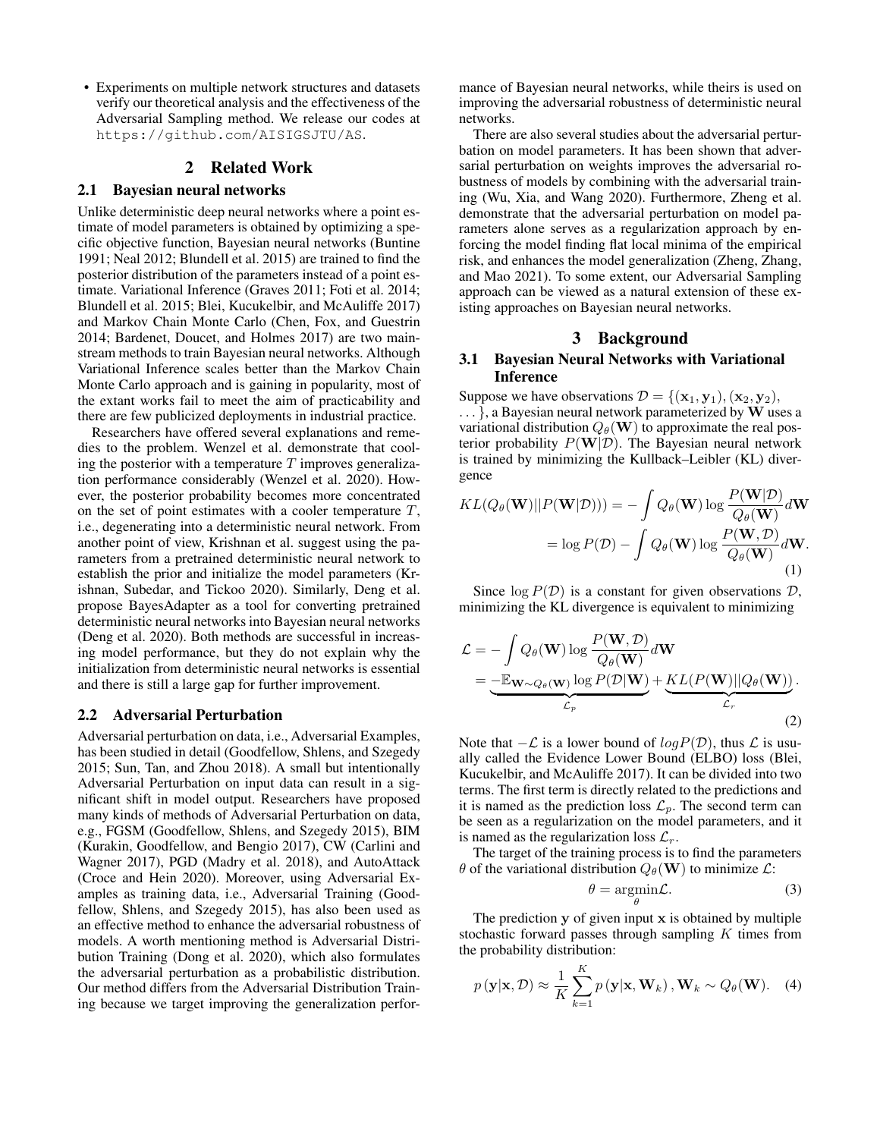• Experiments on multiple network structures and datasets verify our theoretical analysis and the effectiveness of the Adversarial Sampling method. We release our codes at https://github.com/AISIGSJTU/AS.

# 2 Related Work

# 2.1 Bayesian neural networks

Unlike deterministic deep neural networks where a point estimate of model parameters is obtained by optimizing a specific objective function, Bayesian neural networks (Buntine 1991; Neal 2012; Blundell et al. 2015) are trained to find the posterior distribution of the parameters instead of a point estimate. Variational Inference (Graves 2011; Foti et al. 2014; Blundell et al. 2015; Blei, Kucukelbir, and McAuliffe 2017) and Markov Chain Monte Carlo (Chen, Fox, and Guestrin 2014; Bardenet, Doucet, and Holmes 2017) are two mainstream methods to train Bayesian neural networks. Although Variational Inference scales better than the Markov Chain Monte Carlo approach and is gaining in popularity, most of the extant works fail to meet the aim of practicability and there are few publicized deployments in industrial practice.

Researchers have offered several explanations and remedies to the problem. Wenzel et al. demonstrate that cooling the posterior with a temperature  $T$  improves generalization performance considerably (Wenzel et al. 2020). However, the posterior probability becomes more concentrated on the set of point estimates with a cooler temperature  $T$ , i.e., degenerating into a deterministic neural network. From another point of view, Krishnan et al. suggest using the parameters from a pretrained deterministic neural network to establish the prior and initialize the model parameters (Krishnan, Subedar, and Tickoo 2020). Similarly, Deng et al. propose BayesAdapter as a tool for converting pretrained deterministic neural networks into Bayesian neural networks (Deng et al. 2020). Both methods are successful in increasing model performance, but they do not explain why the initialization from deterministic neural networks is essential and there is still a large gap for further improvement.

#### 2.2 Adversarial Perturbation

Adversarial perturbation on data, i.e., Adversarial Examples, has been studied in detail (Goodfellow, Shlens, and Szegedy 2015; Sun, Tan, and Zhou 2018). A small but intentionally Adversarial Perturbation on input data can result in a significant shift in model output. Researchers have proposed many kinds of methods of Adversarial Perturbation on data, e.g., FGSM (Goodfellow, Shlens, and Szegedy 2015), BIM (Kurakin, Goodfellow, and Bengio 2017), CW (Carlini and Wagner 2017), PGD (Madry et al. 2018), and AutoAttack (Croce and Hein 2020). Moreover, using Adversarial Examples as training data, i.e., Adversarial Training (Goodfellow, Shlens, and Szegedy 2015), has also been used as an effective method to enhance the adversarial robustness of models. A worth mentioning method is Adversarial Distribution Training (Dong et al. 2020), which also formulates the adversarial perturbation as a probabilistic distribution. Our method differs from the Adversarial Distribution Training because we target improving the generalization perfor-

mance of Bayesian neural networks, while theirs is used on improving the adversarial robustness of deterministic neural networks.

There are also several studies about the adversarial perturbation on model parameters. It has been shown that adversarial perturbation on weights improves the adversarial robustness of models by combining with the adversarial training (Wu, Xia, and Wang 2020). Furthermore, Zheng et al. demonstrate that the adversarial perturbation on model parameters alone serves as a regularization approach by enforcing the model finding flat local minima of the empirical risk, and enhances the model generalization (Zheng, Zhang, and Mao 2021). To some extent, our Adversarial Sampling approach can be viewed as a natural extension of these existing approaches on Bayesian neural networks.

# 3 Background

# 3.1 Bayesian Neural Networks with Variational Inference

Suppose we have observations  $\mathcal{D} = \{(\mathbf{x}_1, \mathbf{y}_1), (\mathbf{x}_2, \mathbf{y}_2),$ 

 $\ldots$ , a Bayesian neural network parameterized by W uses a variational distribution  $Q_{\theta}(\mathbf{W})$  to approximate the real posterior probability  $P(\mathbf{W}|\mathcal{D})$ . The Bayesian neural network is trained by minimizing the Kullback–Leibler (KL) divergence

$$
KL(Q_{\theta}(\mathbf{W})||P(\mathbf{W}|\mathcal{D}))) = -\int Q_{\theta}(\mathbf{W}) \log \frac{P(\mathbf{W}|\mathcal{D})}{Q_{\theta}(\mathbf{W})} d\mathbf{W}
$$

$$
= \log P(\mathcal{D}) - \int Q_{\theta}(\mathbf{W}) \log \frac{P(\mathbf{W}, \mathcal{D})}{Q_{\theta}(\mathbf{W})} d\mathbf{W}.
$$
(1)

Since  $\log P(D)$  is a constant for given observations D, minimizing the KL divergence is equivalent to minimizing

$$
\mathcal{L} = -\int Q_{\theta}(\mathbf{W}) \log \frac{P(\mathbf{W}, \mathcal{D})}{Q_{\theta}(\mathbf{W})} d\mathbf{W}
$$
  
= 
$$
-\mathbb{E}_{\mathbf{W} \sim Q_{\theta}(\mathbf{W})} \log P(\mathcal{D}|\mathbf{W}) + \underbrace{KL(P(\mathbf{W})||Q_{\theta}(\mathbf{W}))}_{\mathcal{L}_r}.
$$
 (2)

Note that  $-\mathcal{L}$  is a lower bound of  $log P(\mathcal{D})$ , thus  $\mathcal L$  is usually called the Evidence Lower Bound (ELBO) loss (Blei, Kucukelbir, and McAuliffe 2017). It can be divided into two terms. The first term is directly related to the predictions and it is named as the prediction loss  $\mathcal{L}_p$ . The second term can be seen as a regularization on the model parameters, and it is named as the regularization loss  $\mathcal{L}_r$ .

The target of the training process is to find the parameters  $\theta$  of the variational distribution  $Q_{\theta}(\mathbf{W})$  to minimize  $\mathcal{L}$ :

$$
\theta = \underset{\theta}{\operatorname{argmin}} \mathcal{L}.\tag{3}
$$

The prediction  $y$  of given input  $x$  is obtained by multiple stochastic forward passes through sampling  $K$  times from the probability distribution:

$$
p(\mathbf{y}|\mathbf{x}, \mathcal{D}) \approx \frac{1}{K} \sum_{k=1}^{K} p(\mathbf{y}|\mathbf{x}, \mathbf{W}_k), \mathbf{W}_k \sim Q_{\theta}(\mathbf{W}). \quad (4)
$$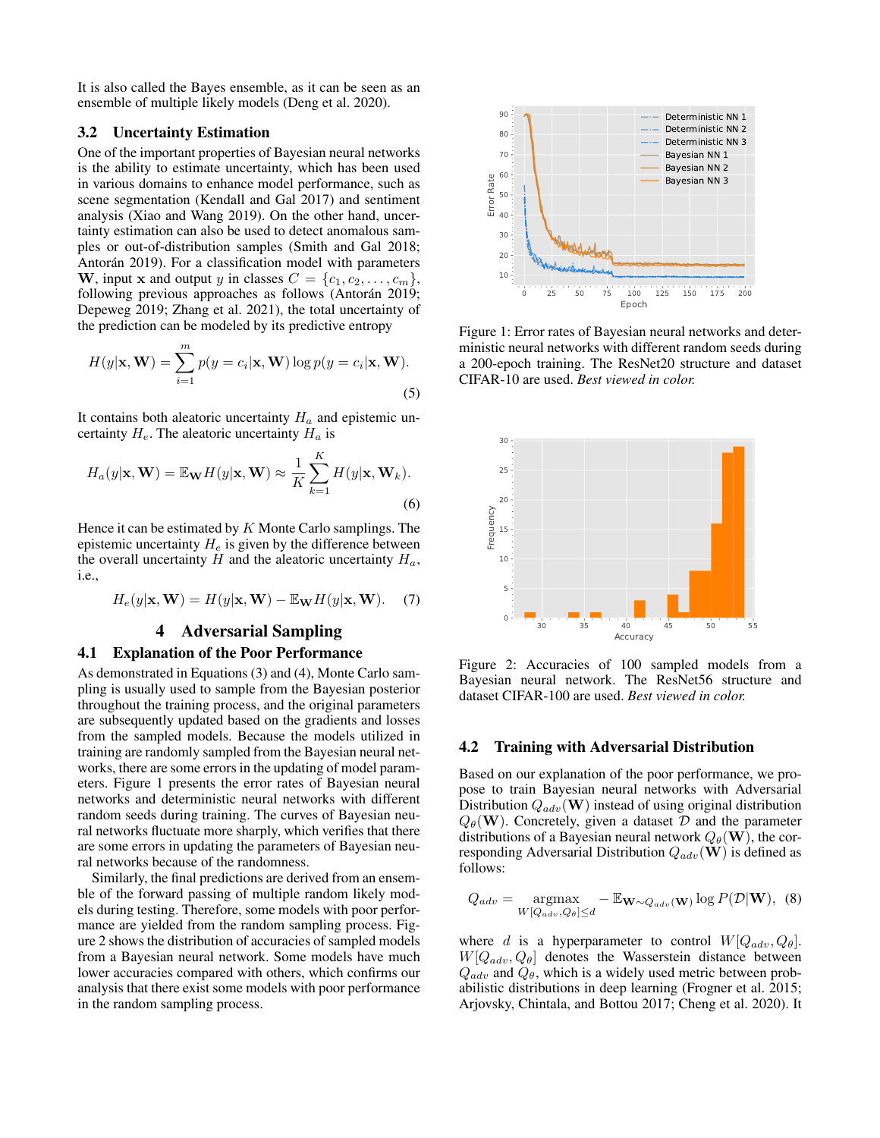It is also called the Bayes ensemble, as it can be seen as an ensemble of multiple likely models (Deng et al. 2020).

# 3.2 Uncertainty Estimation

One of the important properties of Bayesian neural networks is the ability to estimate uncertainty, which has been used in various domains to enhance model performance, such as scene segmentation (Kendall and Gal 2017) and sentiment analysis (Xiao and Wang 2019). On the other hand, uncertainty estimation can also be used to detect anomalous samples or out-of-distribution samples (Smith and Gal 2018; Antorán 2019). For a classification model with parameters **W**, input **x** and output y in classes  $C = \{c_1, c_2, \ldots, c_m\}$ , following previous approaches as follows (Antorán 2019; Depeweg 2019; Zhang et al. 2021), the total uncertainty of the prediction can be modeled by its predictive entropy

$$
H(y|\mathbf{x}, \mathbf{W}) = \sum_{i=1}^{m} p(y = c_i|\mathbf{x}, \mathbf{W}) \log p(y = c_i|\mathbf{x}, \mathbf{W}).
$$
\n(5)

It contains both aleatoric uncertainty  $H_a$  and epistemic uncertainty  $H_e$ . The aleatoric uncertainty  $H_a$  is

$$
H_a(y|\mathbf{x}, \mathbf{W}) = \mathbb{E}_{\mathbf{W}} H(y|\mathbf{x}, \mathbf{W}) \approx \frac{1}{K} \sum_{k=1}^K H(y|\mathbf{x}, \mathbf{W}_k).
$$
\n(6)

Hence it can be estimated by  $K$  Monte Carlo samplings. The epistemic uncertainty  $H_e$  is given by the difference between the overall uncertainty H and the aleatoric uncertainty  $H_a$ , i.e.,

$$
H_e(y|\mathbf{x}, \mathbf{W}) = H(y|\mathbf{x}, \mathbf{W}) - \mathbb{E}_{\mathbf{W}} H(y|\mathbf{x}, \mathbf{W}).
$$
 (7)

# 4 Adversarial Sampling

#### 4.1 Explanation of the Poor Performance

As demonstrated in Equations (3) and (4), Monte Carlo sampling is usually used to sample from the Bayesian posterior throughout the training process, and the original parameters are subsequently updated based on the gradients and losses from the sampled models. Because the models utilized in training are randomly sampled from the Bayesian neural networks, there are some errors in the updating of model parameters. Figure 1 presents the error rates of Bayesian neural networks and deterministic neural networks with different random seeds during training. The curves of Bayesian neural networks fluctuate more sharply, which verifies that there are some errors in updating the parameters of Bayesian neural networks because of the randomness.

Similarly, the final predictions are derived from an ensemble of the forward passing of multiple random likely models during testing. Therefore, some models with poor performance are yielded from the random sampling process. Figure 2 shows the distribution of accuracies of sampled models from a Bayesian neural network. Some models have much lower accuracies compared with others, which confirms our analysis that there exist some models with poor performance in the random sampling process.



Figure 1: Error rates of Bayesian neural networks and deterministic neural networks with different random seeds during a 200-epoch training. The ResNet20 structure and dataset CIFAR-10 are used. *Best viewed in color.*



Figure 2: Accuracies of 100 sampled models from a Bayesian neural network. The ResNet56 structure and dataset CIFAR-100 are used. *Best viewed in color.*

#### 4.2 Training with Adversarial Distribution

Based on our explanation of the poor performance, we propose to train Bayesian neural networks with Adversarial Distribution  $Q_{adv}(\mathbf{W})$  instead of using original distribution  $Q_{\theta}(\mathbf{W})$ . Concretely, given a dataset  $\mathcal{D}$  and the parameter distributions of a Bayesian neural network  $Q_{\theta}(\mathbf{W})$ , the corresponding Adversarial Distribution  $Q_{adv}(\mathbf{W})$  is defined as follows:

$$
Q_{adv} = \underset{W[Q_{adv}, Q_{\theta}] \le d}{\operatorname{argmax}} - \mathbb{E}_{\mathbf{W} \sim Q_{adv}(\mathbf{W})} \log P(\mathcal{D}|\mathbf{W}), \tag{8}
$$

where d is a hyperparameter to control  $W[Q_{adv}, Q_{\theta}]$ .  $W[Q_{adv}, Q_{\theta}]$  denotes the Wasserstein distance between  $Q_{adv}$  and  $Q_{\theta}$ , which is a widely used metric between probabilistic distributions in deep learning (Frogner et al. 2015; Arjovsky, Chintala, and Bottou 2017; Cheng et al. 2020). It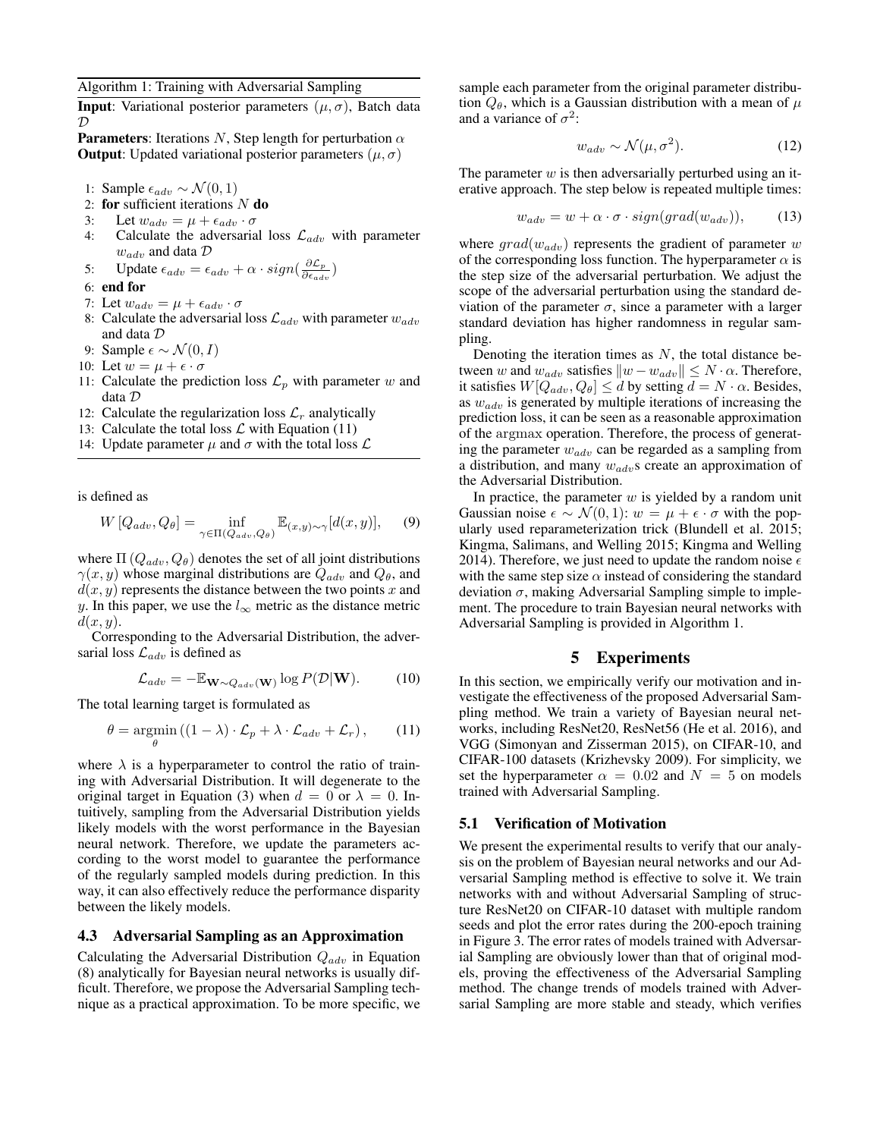Algorithm 1: Training with Adversarial Sampling

**Input**: Variational posterior parameters  $(\mu, \sigma)$ , Batch data  $\mathcal{D}$ 

**Parameters:** Iterations N, Step length for perturbation  $\alpha$ **Output**: Updated variational posterior parameters ( $\mu$ ,  $\sigma$ )

1: Sample  $\epsilon_{adv} \sim \mathcal{N}(0, 1)$ 

- 2: for sufficient iterations  $N$  do
- 3: Let  $w_{adv} = \mu + \epsilon_{adv} \cdot \sigma$ <br>4: Calculate the adversaria
- Calculate the adversarial loss  $\mathcal{L}_{adv}$  with parameter  $w_{adv}$  and data  $\mathcal D$
- 5: Update  $\epsilon_{adv} = \epsilon_{adv} + \alpha \cdot sign(\frac{\partial \mathcal{L}_p}{\partial \epsilon_{adv}})$  $\frac{\partial \mathcal{L}_{p}}{\partial \epsilon_{adv}})$
- 6: end for
- 7: Let  $w_{adv} = \mu + \epsilon_{adv} \cdot \sigma$
- 8: Calculate the adversarial loss  $\mathcal{L}_{adv}$  with parameter  $w_{adv}$ and data D
- 9: Sample  $\epsilon \sim \mathcal{N}(0, I)$
- 10: Let  $w = \mu + \epsilon \cdot \sigma$
- 11: Calculate the prediction loss  $\mathcal{L}_n$  with parameter w and data D
- 12: Calculate the regularization loss  $\mathcal{L}_r$  analytically
- 13: Calculate the total loss  $\mathcal L$  with Equation (11)
- 14: Update parameter  $\mu$  and  $\sigma$  with the total loss  $\mathcal L$

is defined as

$$
W\left[Q_{adv}, Q_{\theta}\right] = \inf_{\gamma \in \Pi(Q_{adv}, Q_{\theta})} \mathbb{E}_{(x, y) \sim \gamma}[d(x, y)], \quad (9)
$$

where  $\Pi(Q_{adv}, Q_{\theta})$  denotes the set of all joint distributions  $\gamma(x, y)$  whose marginal distributions are  $Q_{adv}$  and  $Q_{\theta}$ , and  $d(x, y)$  represents the distance between the two points x and y. In this paper, we use the  $l_{\infty}$  metric as the distance metric  $d(x, y)$ .

Corresponding to the Adversarial Distribution, the adversarial loss  $\mathcal{L}_{adv}$  is defined as

$$
\mathcal{L}_{adv} = -\mathbb{E}_{\mathbf{W} \sim Q_{adv}(\mathbf{W})} \log P(\mathcal{D}|\mathbf{W}). \tag{10}
$$

The total learning target is formulated as

$$
\theta = \operatorname*{argmin}_{\theta} \left( (1 - \lambda) \cdot \mathcal{L}_p + \lambda \cdot \mathcal{L}_{adv} + \mathcal{L}_r \right), \qquad (11)
$$

where  $\lambda$  is a hyperparameter to control the ratio of training with Adversarial Distribution. It will degenerate to the original target in Equation (3) when  $d = 0$  or  $\lambda = 0$ . Intuitively, sampling from the Adversarial Distribution yields likely models with the worst performance in the Bayesian neural network. Therefore, we update the parameters according to the worst model to guarantee the performance of the regularly sampled models during prediction. In this way, it can also effectively reduce the performance disparity between the likely models.

#### 4.3 Adversarial Sampling as an Approximation

Calculating the Adversarial Distribution  $Q_{adv}$  in Equation (8) analytically for Bayesian neural networks is usually difficult. Therefore, we propose the Adversarial Sampling technique as a practical approximation. To be more specific, we sample each parameter from the original parameter distribution  $Q_{\theta}$ , which is a Gaussian distribution with a mean of  $\mu$ and a variance of  $\sigma^2$ :

$$
w_{adv} \sim \mathcal{N}(\mu, \sigma^2). \tag{12}
$$

The parameter  $w$  is then adversarially perturbed using an iterative approach. The step below is repeated multiple times:

$$
w_{adv} = w + \alpha \cdot \sigma \cdot sign(grad(w_{adv})), \qquad (13)
$$

where  $grad(w_{adv})$  represents the gradient of parameter w of the corresponding loss function. The hyperparameter  $\alpha$  is the step size of the adversarial perturbation. We adjust the scope of the adversarial perturbation using the standard deviation of the parameter  $\sigma$ , since a parameter with a larger standard deviation has higher randomness in regular sampling.

Denoting the iteration times as  $N$ , the total distance between w and  $w_{adv}$  satisfies  $||w - w_{adv}|| \leq N \cdot \alpha$ . Therefore, it satisfies  $W[Q_{adv}, Q_{\theta}] \le d$  by setting  $d = N \cdot \alpha$ . Besides, as  $w_{adv}$  is generated by multiple iterations of increasing the prediction loss, it can be seen as a reasonable approximation of the argmax operation. Therefore, the process of generating the parameter  $w_{adv}$  can be regarded as a sampling from a distribution, and many  $w_{adv}$ s create an approximation of the Adversarial Distribution.

In practice, the parameter  $w$  is yielded by a random unit Gaussian noise  $\epsilon \sim \mathcal{N}(0, 1)$ :  $w = \mu + \epsilon \cdot \sigma$  with the popularly used reparameterization trick (Blundell et al. 2015; Kingma, Salimans, and Welling 2015; Kingma and Welling 2014). Therefore, we just need to update the random noise  $\epsilon$ with the same step size  $\alpha$  instead of considering the standard deviation  $\sigma$ , making Adversarial Sampling simple to implement. The procedure to train Bayesian neural networks with Adversarial Sampling is provided in Algorithm 1.

# 5 Experiments

In this section, we empirically verify our motivation and investigate the effectiveness of the proposed Adversarial Sampling method. We train a variety of Bayesian neural networks, including ResNet20, ResNet56 (He et al. 2016), and VGG (Simonyan and Zisserman 2015), on CIFAR-10, and CIFAR-100 datasets (Krizhevsky 2009). For simplicity, we set the hyperparameter  $\alpha = 0.02$  and  $N = 5$  on models trained with Adversarial Sampling.

#### 5.1 Verification of Motivation

We present the experimental results to verify that our analysis on the problem of Bayesian neural networks and our Adversarial Sampling method is effective to solve it. We train networks with and without Adversarial Sampling of structure ResNet20 on CIFAR-10 dataset with multiple random seeds and plot the error rates during the 200-epoch training in Figure 3. The error rates of models trained with Adversarial Sampling are obviously lower than that of original models, proving the effectiveness of the Adversarial Sampling method. The change trends of models trained with Adversarial Sampling are more stable and steady, which verifies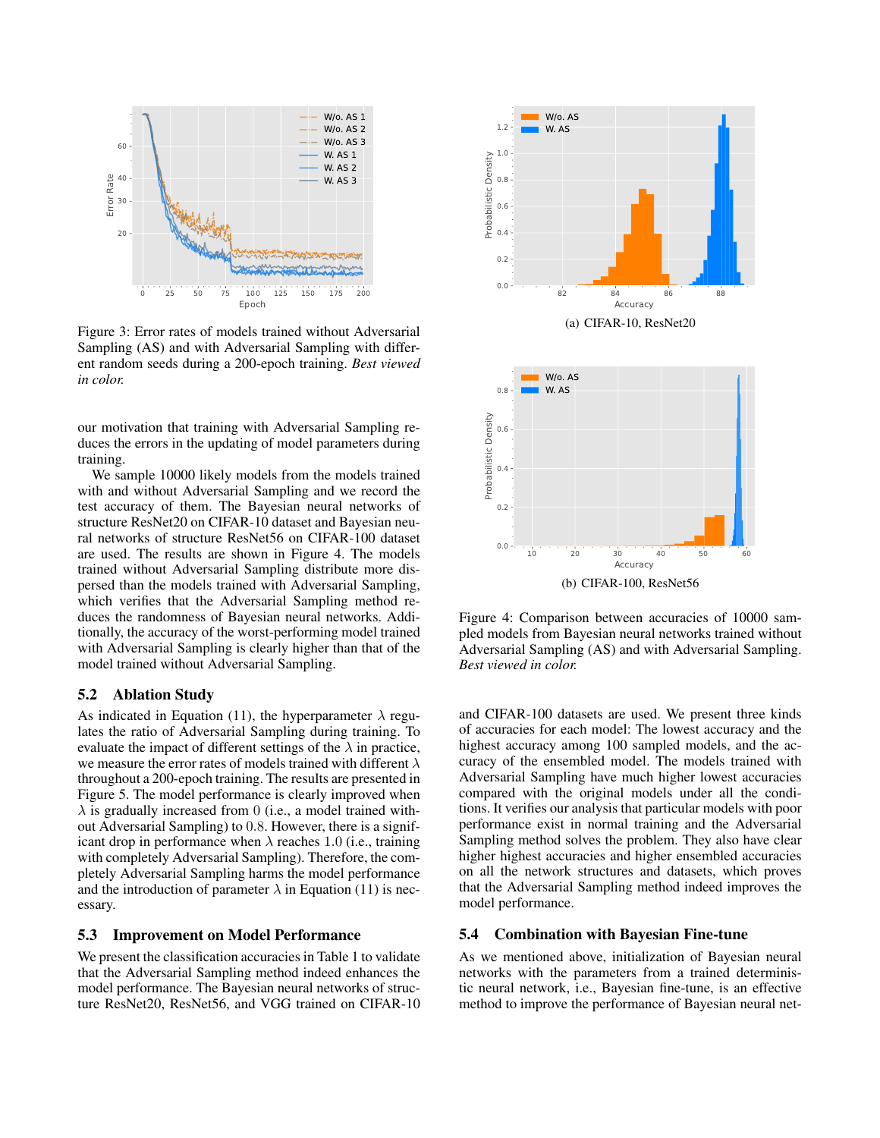

Figure 3: Error rates of models trained without Adversarial Sampling (AS) and with Adversarial Sampling with different random seeds during a 200-epoch training. *Best viewed in color.*

our motivation that training with Adversarial Sampling reduces the errors in the updating of model parameters during training.

We sample 10000 likely models from the models trained with and without Adversarial Sampling and we record the test accuracy of them. The Bayesian neural networks of structure ResNet20 on CIFAR-10 dataset and Bayesian neural networks of structure ResNet56 on CIFAR-100 dataset are used. The results are shown in Figure 4. The models trained without Adversarial Sampling distribute more dispersed than the models trained with Adversarial Sampling, which verifies that the Adversarial Sampling method reduces the randomness of Bayesian neural networks. Additionally, the accuracy of the worst-performing model trained with Adversarial Sampling is clearly higher than that of the model trained without Adversarial Sampling.

# 5.2 Ablation Study

As indicated in Equation (11), the hyperparameter  $\lambda$  regulates the ratio of Adversarial Sampling during training. To evaluate the impact of different settings of the  $\lambda$  in practice, we measure the error rates of models trained with different  $\lambda$ throughout a 200-epoch training. The results are presented in Figure 5. The model performance is clearly improved when  $\lambda$  is gradually increased from 0 (i.e., a model trained without Adversarial Sampling) to 0.8. However, there is a significant drop in performance when  $\lambda$  reaches 1.0 (i.e., training with completely Adversarial Sampling). Therefore, the completely Adversarial Sampling harms the model performance and the introduction of parameter  $\lambda$  in Equation (11) is necessary.

#### 5.3 Improvement on Model Performance

We present the classification accuracies in Table 1 to validate that the Adversarial Sampling method indeed enhances the model performance. The Bayesian neural networks of structure ResNet20, ResNet56, and VGG trained on CIFAR-10



Figure 4: Comparison between accuracies of 10000 sampled models from Bayesian neural networks trained without Adversarial Sampling (AS) and with Adversarial Sampling. *Best viewed in color.*

and CIFAR-100 datasets are used. We present three kinds of accuracies for each model: The lowest accuracy and the highest accuracy among 100 sampled models, and the accuracy of the ensembled model. The models trained with Adversarial Sampling have much higher lowest accuracies compared with the original models under all the conditions. It verifies our analysis that particular models with poor performance exist in normal training and the Adversarial Sampling method solves the problem. They also have clear higher highest accuracies and higher ensembled accuracies on all the network structures and datasets, which proves that the Adversarial Sampling method indeed improves the model performance.

# 5.4 Combination with Bayesian Fine-tune

As we mentioned above, initialization of Bayesian neural networks with the parameters from a trained deterministic neural network, i.e., Bayesian fine-tune, is an effective method to improve the performance of Bayesian neural net-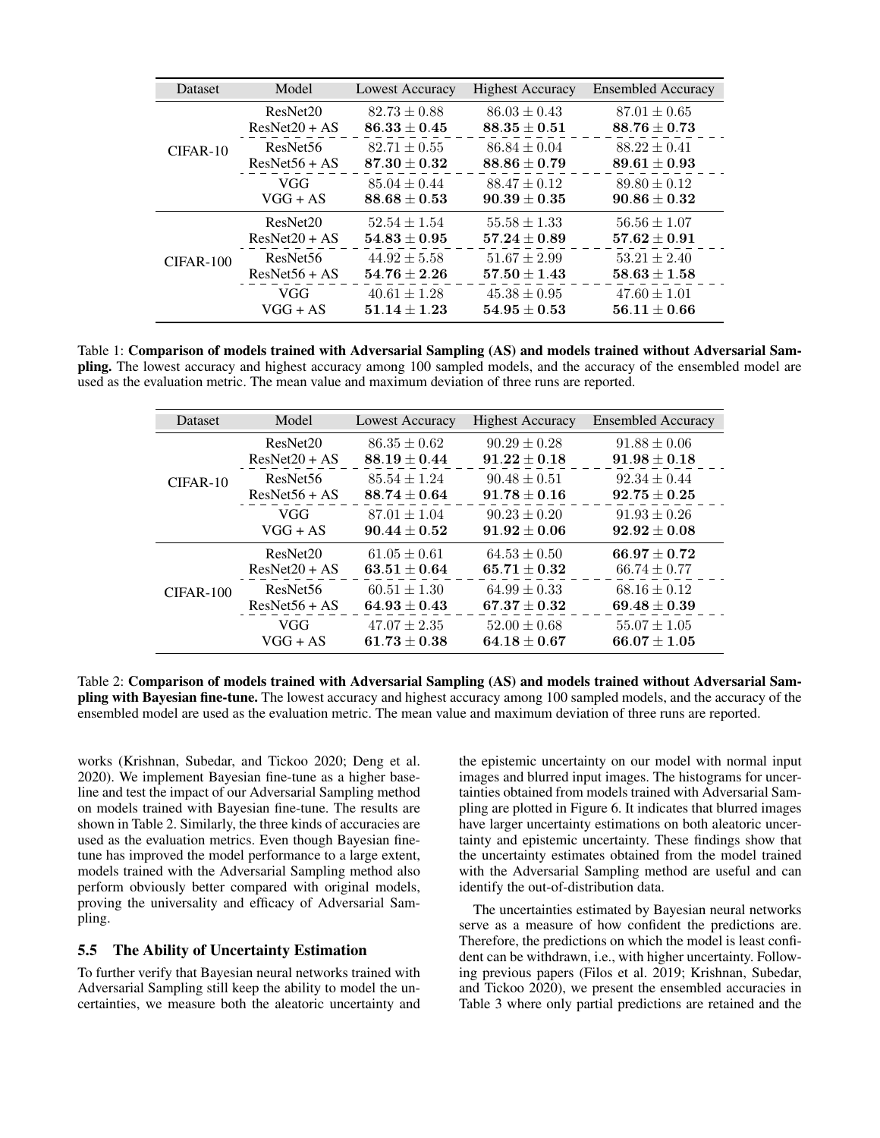| Dataset     | Model                | <b>Lowest Accuracy</b>             | <b>Highest Accuracy</b> | <b>Ensembled Accuracy</b> |
|-------------|----------------------|------------------------------------|-------------------------|---------------------------|
| $CIFAR-10$  | ResNet20             | $82.73 \pm 0.88$                   | $86.03 \pm 0.43$        | $87.01 \pm 0.65$          |
|             | $ResNet20 + AS$      | $86.33 \pm 0.45$                   | $88.35 \pm 0.51$        | $88.76 \pm 0.73$          |
|             | ResNet <sub>56</sub> | $82.71 \pm 0.55$                   | $86.84 \pm 0.04$        | $88.22 \pm 0.41$          |
|             | $ResNet56 + AS$      | $87.30 \pm 0.32$                   | $88.86 \pm 0.79$        | $89.61 \pm 0.93$          |
|             | VGG                  | $85.04 \pm 0.44$                   | $88.47 \pm 0.12$        | $89.80 \pm 0.12$          |
|             | $VGG + AS$           | $88.68 \pm 0.53$                   | $90.39 \pm 0.35$        | $90.86 \pm 0.32$          |
| $CIFAR-100$ | ResNet20             | $52.54 \pm 1.54$                   | $55.58 \pm 1.33$        | $56.56 \pm 1.07$          |
|             | $ResNet20 + AS$      | $54.83 \pm 0.95$                   | $57.24 \pm 0.89$        | $57.62 \pm 0.91$          |
|             | ResNet <sub>56</sub> | $44.92 \pm 5.58$                   | $51.67 \pm 2.99$        | $53.21 \pm 2.40$          |
|             | $ResNet56 + AS$      | $\textbf{54.76} \pm \textbf{2.26}$ | $57.50 \pm 1.43$        | $58.63 \pm 1.58$          |
|             | VGG                  | $40.61 \pm 1.28$                   | $45.38 \pm 0.95$        | $47.60 \pm 1.01$          |
|             | $VGG + AS$           | $51.14 \pm 1.23$                   | $54.95 \pm 0.53$        | $56.11 \pm 0.66$          |

Table 1: Comparison of models trained with Adversarial Sampling (AS) and models trained without Adversarial Sampling. The lowest accuracy and highest accuracy among 100 sampled models, and the accuracy of the ensembled model are used as the evaluation metric. The mean value and maximum deviation of three runs are reported.

| <b>Dataset</b> | Model                                   | Lowest Accuracy                      | <b>Highest Accuracy</b>              | <b>Ensembled Accuracy</b>            |
|----------------|-----------------------------------------|--------------------------------------|--------------------------------------|--------------------------------------|
| $CIFAR-10$     | ResNet20<br>$ResNet20 + AS$             | $86.35 \pm 0.62$<br>$88.19 \pm 0.44$ | $90.29 \pm 0.28$<br>$91.22 \pm 0.18$ | $91.88 \pm 0.06$<br>$91.98 \pm 0.18$ |
|                | ResNet <sub>56</sub><br>$ResNet56 + AS$ | $85.54 \pm 1.24$<br>$88.74 \pm 0.64$ | $90.48 \pm 0.51$<br>$91.78 \pm 0.16$ | $92.34 \pm 0.44$<br>$92.75 \pm 0.25$ |
|                | VGG<br>$VGG + AS$                       | $87.01 \pm 1.04$<br>$90.44 \pm 0.52$ | $90.23 \pm 0.20$<br>$91.92 \pm 0.06$ | $91.93 \pm 0.26$<br>$92.92 \pm 0.08$ |
| $CIFAR-100$    | ResNet20<br>$ResNet20 + AS$             | $61.05 \pm 0.61$<br>$63.51 \pm 0.64$ | $64.53 \pm 0.50$<br>$65.71 \pm 0.32$ | $66.97 \pm 0.72$<br>$66.74 \pm 0.77$ |
|                | ResNet <sub>56</sub><br>$ResNet56 + AS$ | $60.51 \pm 1.30$<br>$64.93 \pm 0.43$ | $64.99 \pm 0.33$<br>$67.37 \pm 0.32$ | $68.16 \pm 0.12$<br>$69.48 \pm 0.39$ |
|                | VGG<br>$VGG + AS$                       | $47.07 \pm 2.35$<br>$61.73 \pm 0.38$ | $52.00 \pm 0.68$<br>$64.18 \pm 0.67$ | $55.07 \pm 1.05$<br>$66.07 \pm 1.05$ |

Table 2: Comparison of models trained with Adversarial Sampling (AS) and models trained without Adversarial Sampling with Bayesian fine-tune. The lowest accuracy and highest accuracy among 100 sampled models, and the accuracy of the ensembled model are used as the evaluation metric. The mean value and maximum deviation of three runs are reported.

works (Krishnan, Subedar, and Tickoo 2020; Deng et al. 2020). We implement Bayesian fine-tune as a higher baseline and test the impact of our Adversarial Sampling method on models trained with Bayesian fine-tune. The results are shown in Table 2. Similarly, the three kinds of accuracies are used as the evaluation metrics. Even though Bayesian finetune has improved the model performance to a large extent, models trained with the Adversarial Sampling method also perform obviously better compared with original models, proving the universality and efficacy of Adversarial Sampling.

# 5.5 The Ability of Uncertainty Estimation

To further verify that Bayesian neural networks trained with Adversarial Sampling still keep the ability to model the uncertainties, we measure both the aleatoric uncertainty and

the epistemic uncertainty on our model with normal input images and blurred input images. The histograms for uncertainties obtained from models trained with Adversarial Sampling are plotted in Figure 6. It indicates that blurred images have larger uncertainty estimations on both aleatoric uncertainty and epistemic uncertainty. These findings show that the uncertainty estimates obtained from the model trained with the Adversarial Sampling method are useful and can identify the out-of-distribution data.

The uncertainties estimated by Bayesian neural networks serve as a measure of how confident the predictions are. Therefore, the predictions on which the model is least confident can be withdrawn, i.e., with higher uncertainty. Following previous papers (Filos et al. 2019; Krishnan, Subedar, and Tickoo 2020), we present the ensembled accuracies in Table 3 where only partial predictions are retained and the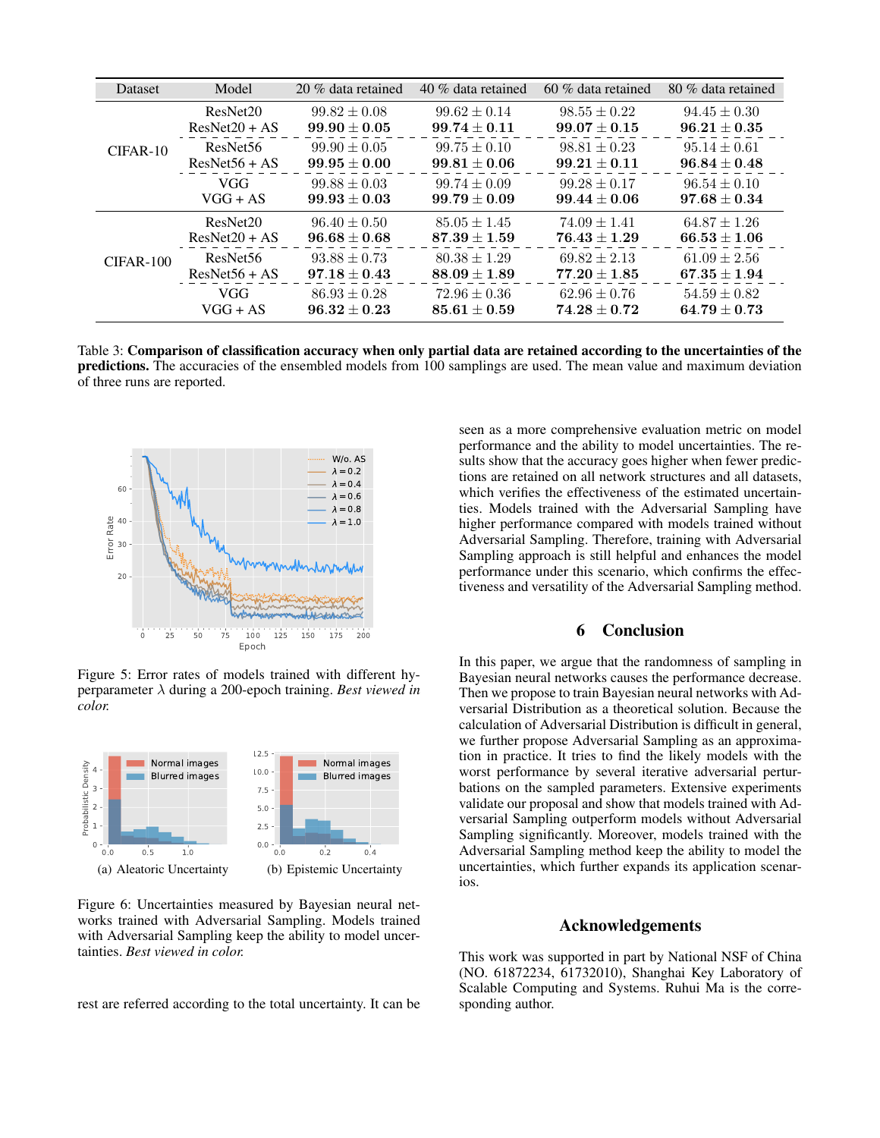| <b>Dataset</b> | Model                | 20 % data retained | 40 % data retained | $60\%$ data retained | 80 % data retained |
|----------------|----------------------|--------------------|--------------------|----------------------|--------------------|
| $CIFAR-10$     | ResNet20             | $99.82 \pm 0.08$   | $99.62 \pm 0.14$   | $98.55 \pm 0.22$     | $94.45 \pm 0.30$   |
|                | $ResNet20 + AS$      | $99.90 \pm 0.05$   | $99.74 \pm 0.11$   | $99.07 \pm 0.15$     | $96.21 \pm 0.35$   |
|                | ResNet <sub>56</sub> | $99.90 \pm 0.05$   | $99.75 \pm 0.10$   | $98.81 \pm 0.23$     | $95.14 \pm 0.61$   |
|                | $ResNet56 + AS$      | $99.95 \pm 0.00$   | $99.81 \pm 0.06$   | $99.21 \pm 0.11$     | $96.84 \pm 0.48$   |
|                | <b>VGG</b>           | $99.88 \pm 0.03$   | $99.74 \pm 0.09$   | $99.28 \pm 0.17$     | $96.54 \pm 0.10$   |
|                | $VGG + AS$           | $99.93 \pm 0.03$   | $99.79 \pm 0.09$   | $99.44 \pm 0.06$     | $97.68 \pm 0.34$   |
| CIFAR-100      | ResNet20             | $96.40 \pm 0.50$   | $85.05 \pm 1.45$   | $74.09 \pm 1.41$     | $64.87 \pm 1.26$   |
|                | $ResNet20 + AS$      | $96.68 \pm 0.68$   | $87.39 \pm 1.59$   | $76.43 \pm 1.29$     | $66.53 \pm 1.06$   |
|                | ResNet <sub>56</sub> | $93.88 \pm 0.73$   | $80.38 \pm 1.29$   | $69.82 \pm 2.13$     | $61.09 \pm 2.56$   |
|                | $ResNet56 + AS$      | $97.18 \pm 0.43$   | $88.09 \pm 1.89$   | $77.20 \pm 1.85$     | $67.35 \pm 1.94$   |
|                | <b>VGG</b>           | $86.93 \pm 0.28$   | $72.96 \pm 0.36$   | $62.96 \pm 0.76$     | $54.59 \pm 0.82$   |
|                | $VGG + AS$           | $96.32 \pm 0.23$   | $85.61 \pm 0.59$   | $74.28 \pm 0.72$     | $64.79 \pm 0.73$   |

Table 3: Comparison of classification accuracy when only partial data are retained according to the uncertainties of the predictions. The accuracies of the ensembled models from 100 samplings are used. The mean value and maximum deviation of three runs are reported.



Figure 5: Error rates of models trained with different hyperparameter λ during a 200-epoch training. *Best viewed in color.*



Figure 6: Uncertainties measured by Bayesian neural networks trained with Adversarial Sampling. Models trained with Adversarial Sampling keep the ability to model uncertainties. *Best viewed in color.*

rest are referred according to the total uncertainty. It can be

seen as a more comprehensive evaluation metric on model performance and the ability to model uncertainties. The results show that the accuracy goes higher when fewer predictions are retained on all network structures and all datasets, which verifies the effectiveness of the estimated uncertainties. Models trained with the Adversarial Sampling have higher performance compared with models trained without Adversarial Sampling. Therefore, training with Adversarial Sampling approach is still helpful and enhances the model performance under this scenario, which confirms the effectiveness and versatility of the Adversarial Sampling method.

# 6 Conclusion

In this paper, we argue that the randomness of sampling in Bayesian neural networks causes the performance decrease. Then we propose to train Bayesian neural networks with Adversarial Distribution as a theoretical solution. Because the calculation of Adversarial Distribution is difficult in general, we further propose Adversarial Sampling as an approximation in practice. It tries to find the likely models with the worst performance by several iterative adversarial perturbations on the sampled parameters. Extensive experiments validate our proposal and show that models trained with Adversarial Sampling outperform models without Adversarial Sampling significantly. Moreover, models trained with the Adversarial Sampling method keep the ability to model the uncertainties, which further expands its application scenarios.

# Acknowledgements

This work was supported in part by National NSF of China (NO. 61872234, 61732010), Shanghai Key Laboratory of Scalable Computing and Systems. Ruhui Ma is the corresponding author.